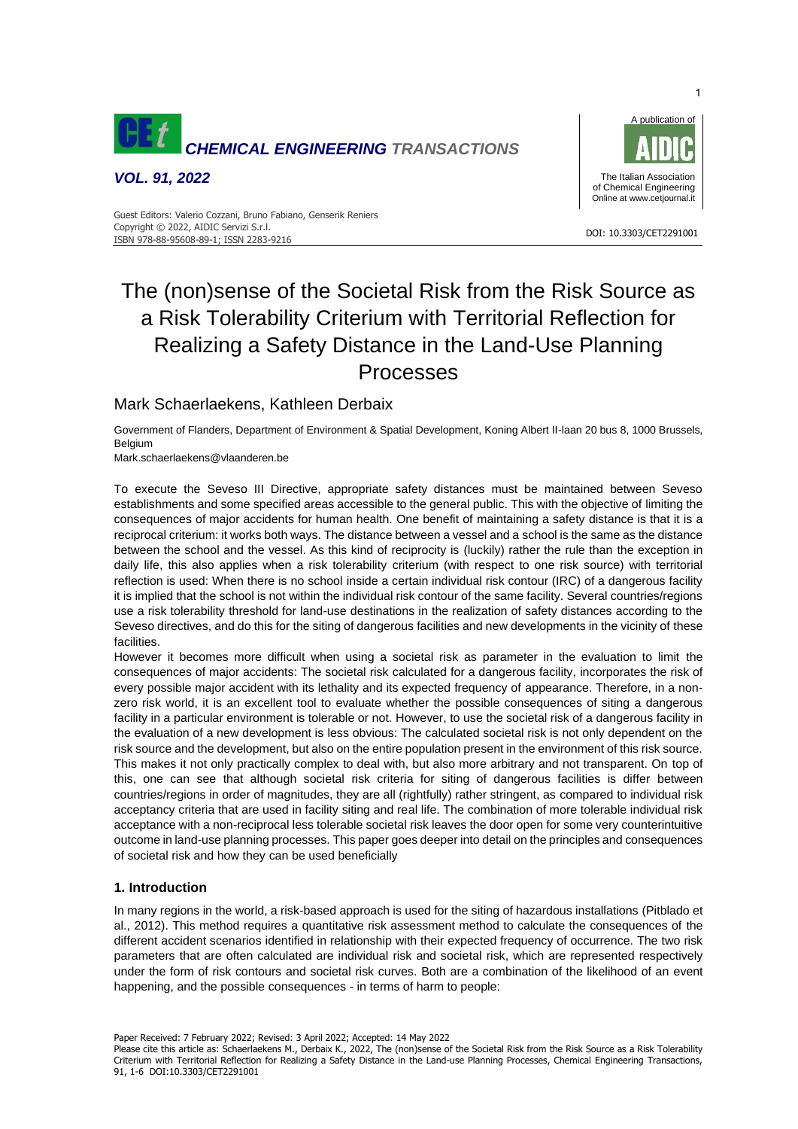

*VOL. 91, 2022*



#### DOI: 10.3303/CET2291001 ISBN 978-88-95608-89-1; ISSN 2283-9216 Guest Editors: Valerio Cozzani, Bruno Fabiano, Genserik Reniers Copyright © 2022, AIDIC Servizi S.r.l.

# The (non)sense of the Societal Risk from the Risk Source as a Risk Tolerability Criterium with Territorial Reflection for Realizing a Safety Distance in the Land-Use Planning Processes

# Mark Schaerlaekens, Kathleen Derbaix

Government of Flanders, Department of Environment & Spatial Development, Koning Albert II-laan 20 bus 8, 1000 Brussels, Belgium

Mark.schaerlaekens@vlaanderen.be

To execute the Seveso III Directive, appropriate safety distances must be maintained between Seveso establishments and some specified areas accessible to the general public. This with the objective of limiting the consequences of major accidents for human health. One benefit of maintaining a safety distance is that it is a reciprocal criterium: it works both ways. The distance between a vessel and a school is the same as the distance between the school and the vessel. As this kind of reciprocity is (luckily) rather the rule than the exception in daily life, this also applies when a risk tolerability criterium (with respect to one risk source) with territorial reflection is used: When there is no school inside a certain individual risk contour (IRC) of a dangerous facility it is implied that the school is not within the individual risk contour of the same facility. Several countries/regions use a risk tolerability threshold for land-use destinations in the realization of safety distances according to the Seveso directives, and do this for the siting of dangerous facilities and new developments in the vicinity of these facilities.

However it becomes more difficult when using a societal risk as parameter in the evaluation to limit the consequences of major accidents: The societal risk calculated for a dangerous facility, incorporates the risk of every possible major accident with its lethality and its expected frequency of appearance. Therefore, in a nonzero risk world, it is an excellent tool to evaluate whether the possible consequences of siting a dangerous facility in a particular environment is tolerable or not. However, to use the societal risk of a dangerous facility in the evaluation of a new development is less obvious: The calculated societal risk is not only dependent on the risk source and the development, but also on the entire population present in the environment of this risk source. This makes it not only practically complex to deal with, but also more arbitrary and not transparent. On top of this, one can see that although societal risk criteria for siting of dangerous facilities is differ between countries/regions in order of magnitudes, they are all (rightfully) rather stringent, as compared to individual risk acceptancy criteria that are used in facility siting and real life. The combination of more tolerable individual risk acceptance with a non-reciprocal less tolerable societal risk leaves the door open for some very counterintuitive outcome in land-use planning processes. This paper goes deeper into detail on the principles and consequences of societal risk and how they can be used beneficially

# **1. Introduction**

In many regions in the world, a risk-based approach is used for the siting of hazardous installations (Pitblado et al., 2012). This method requires a quantitative risk assessment method to calculate the consequences of the different accident scenarios identified in relationship with their expected frequency of occurrence. The two risk parameters that are often calculated are individual risk and societal risk, which are represented respectively under the form of risk contours and societal risk curves. Both are a combination of the likelihood of an event happening, and the possible consequences - in terms of harm to people:

Paper Received: 7 February 2022; Revised: 3 April 2022; Accepted: 14 May 2022

Please cite this article as: Schaerlaekens M., Derbaix K., 2022, The (non)sense of the Societal Risk from the Risk Source as a Risk Tolerability Criterium with Territorial Reflection for Realizing a Safety Distance in the Land-use Planning Processes, Chemical Engineering Transactions, 91, 1-6 DOI:10.3303/CET2291001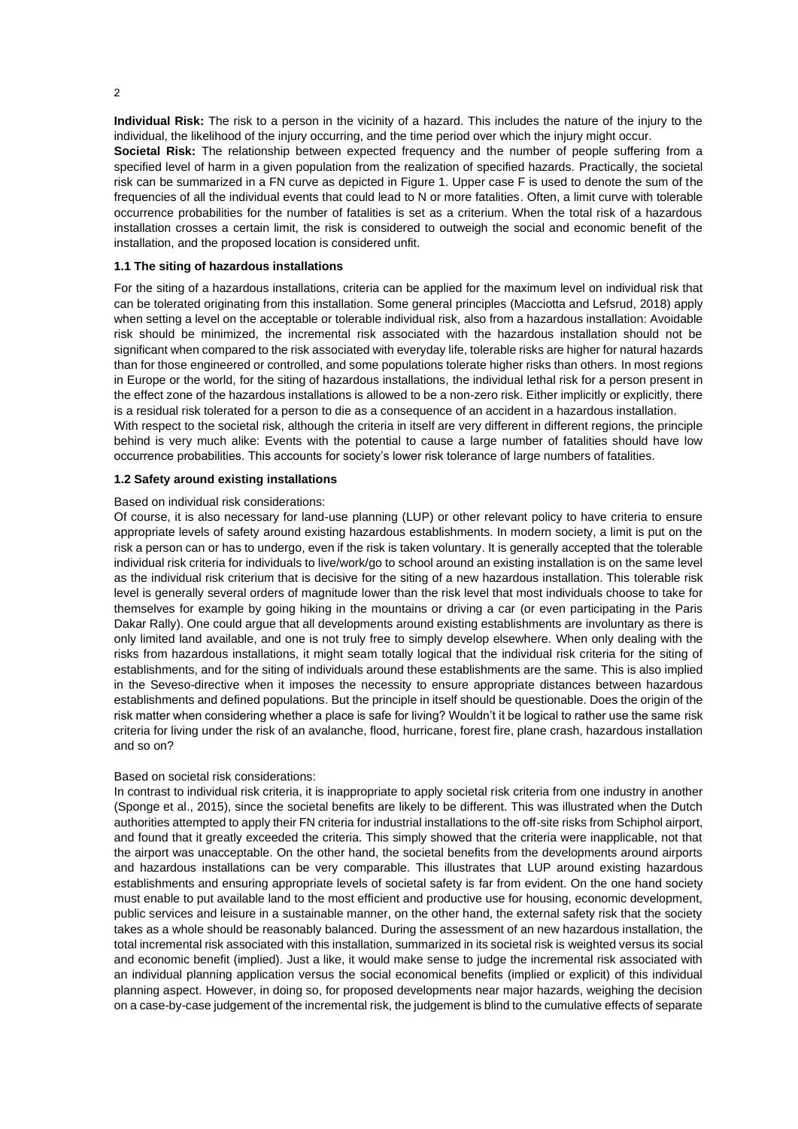**Individual Risk:** The risk to a person in the vicinity of a hazard. This includes the nature of the injury to the individual, the likelihood of the injury occurring, and the time period over which the injury might occur. **Societal Risk:** The relationship between expected frequency and the number of people suffering from a specified level of harm in a given population from the realization of specified hazards. Practically, the societal risk can be summarized in a FN curve as depicted in Figure 1. Upper case F is used to denote the sum of the frequencies of all the individual events that could lead to N or more fatalities. Often, a limit curve with tolerable occurrence probabilities for the number of fatalities is set as a criterium. When the total risk of a hazardous installation crosses a certain limit, the risk is considered to outweigh the social and economic benefit of the installation, and the proposed location is considered unfit.

#### **1.1 The siting of hazardous installations**

For the siting of a hazardous installations, criteria can be applied for the maximum level on individual risk that can be tolerated originating from this installation. Some general principles (Macciotta and Lefsrud, 2018) apply when setting a level on the acceptable or tolerable individual risk, also from a hazardous installation: Avoidable risk should be minimized, the incremental risk associated with the hazardous installation should not be significant when compared to the risk associated with everyday life, tolerable risks are higher for natural hazards than for those engineered or controlled, and some populations tolerate higher risks than others. In most regions in Europe or the world, for the siting of hazardous installations, the individual lethal risk for a person present in the effect zone of the hazardous installations is allowed to be a non-zero risk. Either implicitly or explicitly, there is a residual risk tolerated for a person to die as a consequence of an accident in a hazardous installation. With respect to the societal risk, although the criteria in itself are very different in different regions, the principle behind is very much alike: Events with the potential to cause a large number of fatalities should have low

# occurrence probabilities. This accounts for society's lower risk tolerance of large numbers of fatalities.

# **1.2 Safety around existing installations**

#### Based on individual risk considerations:

Of course, it is also necessary for land-use planning (LUP) or other relevant policy to have criteria to ensure appropriate levels of safety around existing hazardous establishments. In modern society, a limit is put on the risk a person can or has to undergo, even if the risk is taken voluntary. It is generally accepted that the tolerable individual risk criteria for individuals to live/work/go to school around an existing installation is on the same level as the individual risk criterium that is decisive for the siting of a new hazardous installation. This tolerable risk level is generally several orders of magnitude lower than the risk level that most individuals choose to take for themselves for example by going hiking in the mountains or driving a car (or even participating in the Paris Dakar Rally). One could argue that all developments around existing establishments are involuntary as there is only limited land available, and one is not truly free to simply develop elsewhere. When only dealing with the risks from hazardous installations, it might seam totally logical that the individual risk criteria for the siting of establishments, and for the siting of individuals around these establishments are the same. This is also implied in the Seveso-directive when it imposes the necessity to ensure appropriate distances between hazardous establishments and defined populations. But the principle in itself should be questionable. Does the origin of the risk matter when considering whether a place is safe for living? Wouldn't it be logical to rather use the same risk criteria for living under the risk of an avalanche, flood, hurricane, forest fire, plane crash, hazardous installation and so on?

#### Based on societal risk considerations:

In contrast to individual risk criteria, it is inappropriate to apply societal risk criteria from one industry in another (Sponge et al., 2015), since the societal benefits are likely to be different. This was illustrated when the Dutch authorities attempted to apply their FN criteria for industrial installations to the off-site risks from Schiphol airport, and found that it greatly exceeded the criteria. This simply showed that the criteria were inapplicable, not that the airport was unacceptable. On the other hand, the societal benefits from the developments around airports and hazardous installations can be very comparable. This illustrates that LUP around existing hazardous establishments and ensuring appropriate levels of societal safety is far from evident. On the one hand society must enable to put available land to the most efficient and productive use for housing, economic development, public services and leisure in a sustainable manner, on the other hand, the external safety risk that the society takes as a whole should be reasonably balanced. During the assessment of an new hazardous installation, the total incremental risk associated with this installation, summarized in its societal risk is weighted versus its social and economic benefit (implied). Just a like, it would make sense to judge the incremental risk associated with an individual planning application versus the social economical benefits (implied or explicit) of this individual planning aspect. However, in doing so, for proposed developments near major hazards, weighing the decision on a case-by-case judgement of the incremental risk, the judgement is blind to the cumulative effects of separate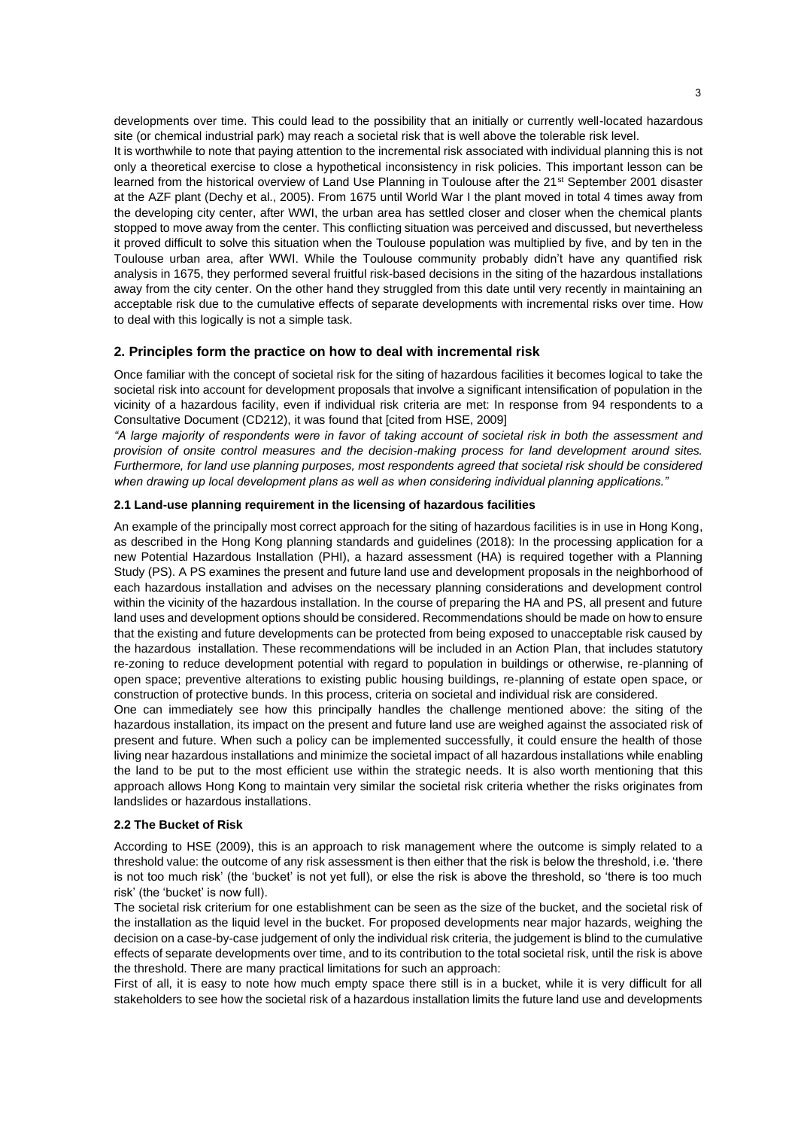developments over time. This could lead to the possibility that an initially or currently well-located hazardous site (or chemical industrial park) may reach a societal risk that is well above the tolerable risk level. It is worthwhile to note that paying attention to the incremental risk associated with individual planning this is not only a theoretical exercise to close a hypothetical inconsistency in risk policies. This important lesson can be learned from the historical overview of Land Use Planning in Toulouse after the 21<sup>st</sup> September 2001 disaster at the AZF plant (Dechy et al., 2005). From 1675 until World War I the plant moved in total 4 times away from the developing city center, after WWI, the urban area has settled closer and closer when the chemical plants stopped to move away from the center. This conflicting situation was perceived and discussed, but nevertheless it proved difficult to solve this situation when the Toulouse population was multiplied by five, and by ten in the Toulouse urban area, after WWI. While the Toulouse community probably didn't have any quantified risk analysis in 1675, they performed several fruitful risk-based decisions in the siting of the hazardous installations away from the city center. On the other hand they struggled from this date until very recently in maintaining an acceptable risk due to the cumulative effects of separate developments with incremental risks over time. How to deal with this logically is not a simple task.

# **2. Principles form the practice on how to deal with incremental risk**

Once familiar with the concept of societal risk for the siting of hazardous facilities it becomes logical to take the societal risk into account for development proposals that involve a significant intensification of population in the vicinity of a hazardous facility, even if individual risk criteria are met: In response from 94 respondents to a Consultative Document (CD212), it was found that [cited from HSE, 2009]

*"A large majority of respondents were in favor of taking account of societal risk in both the assessment and provision of onsite control measures and the decision-making process for land development around sites. Furthermore, for land use planning purposes, most respondents agreed that societal risk should be considered when drawing up local development plans as well as when considering individual planning applications."*

# <span id="page-2-0"></span>**2.1 Land-use planning requirement in the licensing of hazardous facilities**

An example of the principally most correct approach for the siting of hazardous facilities is in use in Hong Kong, as described in the Hong Kong planning standards and guidelines (2018): In the processing application for a new Potential Hazardous Installation (PHI), a hazard assessment (HA) is required together with a Planning Study (PS). A PS examines the present and future land use and development proposals in the neighborhood of each hazardous installation and advises on the necessary planning considerations and development control within the vicinity of the hazardous installation. In the course of preparing the HA and PS, all present and future land uses and development options should be considered. Recommendations should be made on how to ensure that the existing and future developments can be protected from being exposed to unacceptable risk caused by the hazardous installation. These recommendations will be included in an Action Plan, that includes statutory re-zoning to reduce development potential with regard to population in buildings or otherwise, re-planning of open space; preventive alterations to existing public housing buildings, re-planning of estate open space, or construction of protective bunds. In this process, criteria on societal and individual risk are considered.

One can immediately see how this principally handles the challenge mentioned above: the siting of the hazardous installation, its impact on the present and future land use are weighed against the associated risk of present and future. When such a policy can be implemented successfully, it could ensure the health of those living near hazardous installations and minimize the societal impact of all hazardous installations while enabling the land to be put to the most efficient use within the strategic needs. It is also worth mentioning that this approach allows Hong Kong to maintain very similar the societal risk criteria whether the risks originates from landslides or hazardous installations.

## <span id="page-2-1"></span>**2.2 The Bucket of Risk**

According to HSE (2009), this is an approach to risk management where the outcome is simply related to a threshold value: the outcome of any risk assessment is then either that the risk is below the threshold, i.e. 'there is not too much risk' (the 'bucket' is not yet full), or else the risk is above the threshold, so 'there is too much risk' (the 'bucket' is now full).

The societal risk criterium for one establishment can be seen as the size of the bucket, and the societal risk of the installation as the liquid level in the bucket. For proposed developments near major hazards, weighing the decision on a case-by-case judgement of only the individual risk criteria, the judgement is blind to the cumulative effects of separate developments over time, and to its contribution to the total societal risk, until the risk is above the threshold. There are many practical limitations for such an approach:

First of all, it is easy to note how much empty space there still is in a bucket, while it is very difficult for all stakeholders to see how the societal risk of a hazardous installation limits the future land use and developments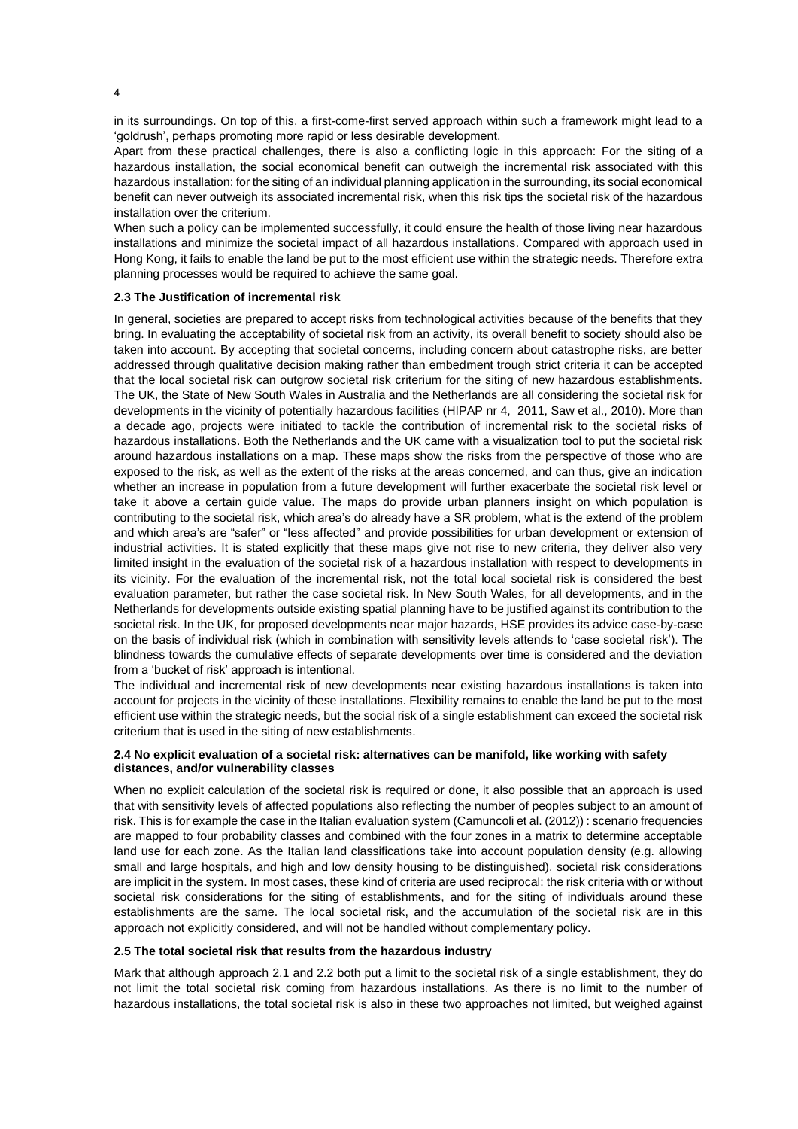in its surroundings. On top of this, a first-come-first served approach within such a framework might lead to a 'goldrush', perhaps promoting more rapid or less desirable development.

Apart from these practical challenges, there is also a conflicting logic in this approach: For the siting of a hazardous installation, the social economical benefit can outweigh the incremental risk associated with this hazardous installation: for the siting of an individual planning application in the surrounding, its social economical benefit can never outweigh its associated incremental risk, when this risk tips the societal risk of the hazardous installation over the criterium.

When such a policy can be implemented successfully, it could ensure the health of those living near hazardous installations and minimize the societal impact of all hazardous installations. Compared with approach used in Hong Kong, it fails to enable the land be put to the most efficient use within the strategic needs. Therefore extra planning processes would be required to achieve the same goal.

#### **2.3 The Justification of incremental risk**

In general, societies are prepared to accept risks from technological activities because of the benefits that they bring. In evaluating the acceptability of societal risk from an activity, its overall benefit to society should also be taken into account. By accepting that societal concerns, including concern about catastrophe risks, are better addressed through qualitative decision making rather than embedment trough strict criteria it can be accepted that the local societal risk can outgrow societal risk criterium for the siting of new hazardous establishments. The UK, the State of New South Wales in Australia and the Netherlands are all considering the societal risk for developments in the vicinity of potentially hazardous facilities (HIPAP nr 4, 2011, Saw et al., 2010). More than a decade ago, projects were initiated to tackle the contribution of incremental risk to the societal risks of hazardous installations. Both the Netherlands and the UK came with a visualization tool to put the societal risk around hazardous installations on a map. These maps show the risks from the perspective of those who are exposed to the risk, as well as the extent of the risks at the areas concerned, and can thus, give an indication whether an increase in population from a future development will further exacerbate the societal risk level or take it above a certain guide value. The maps do provide urban planners insight on which population is contributing to the societal risk, which area's do already have a SR problem, what is the extend of the problem and which area's are "safer" or "less affected" and provide possibilities for urban development or extension of industrial activities. It is stated explicitly that these maps give not rise to new criteria, they deliver also very limited insight in the evaluation of the societal risk of a hazardous installation with respect to developments in its vicinity. For the evaluation of the incremental risk, not the total local societal risk is considered the best evaluation parameter, but rather the case societal risk. In New South Wales, for all developments, and in the Netherlands for developments outside existing spatial planning have to be justified against its contribution to the societal risk. In the UK, for proposed developments near major hazards, HSE provides its advice case-by-case on the basis of individual risk (which in combination with sensitivity levels attends to 'case societal risk'). The blindness towards the cumulative effects of separate developments over time is considered and the deviation from a 'bucket of risk' approach is intentional.

The individual and incremental risk of new developments near existing hazardous installations is taken into account for projects in the vicinity of these installations. Flexibility remains to enable the land be put to the most efficient use within the strategic needs, but the social risk of a single establishment can exceed the societal risk criterium that is used in the siting of new establishments.

# **2.4 No explicit evaluation of a societal risk: alternatives can be manifold, like working with safety distances, and/or vulnerability classes**

When no explicit calculation of the societal risk is required or done, it also possible that an approach is used that with sensitivity levels of affected populations also reflecting the number of peoples subject to an amount of risk. This is for example the case in the Italian evaluation system (Camuncoli et al. (2012)) : scenario frequencies are mapped to four probability classes and combined with the four zones in a matrix to determine acceptable land use for each zone. As the Italian land classifications take into account population density (e.g. allowing small and large hospitals, and high and low density housing to be distinguished), societal risk considerations are implicit in the system. In most cases, these kind of criteria are used reciprocal: the risk criteria with or without societal risk considerations for the siting of establishments, and for the siting of individuals around these establishments are the same. The local societal risk, and the accumulation of the societal risk are in this approach not explicitly considered, and will not be handled without complementary policy.

## **2.5 The total societal risk that results from the hazardous industry**

Mark that although approach [2.1](#page-2-0) and [2.2](#page-2-1) both put a limit to the societal risk of a single establishment, they do not limit the total societal risk coming from hazardous installations. As there is no limit to the number of hazardous installations, the total societal risk is also in these two approaches not limited, but weighed against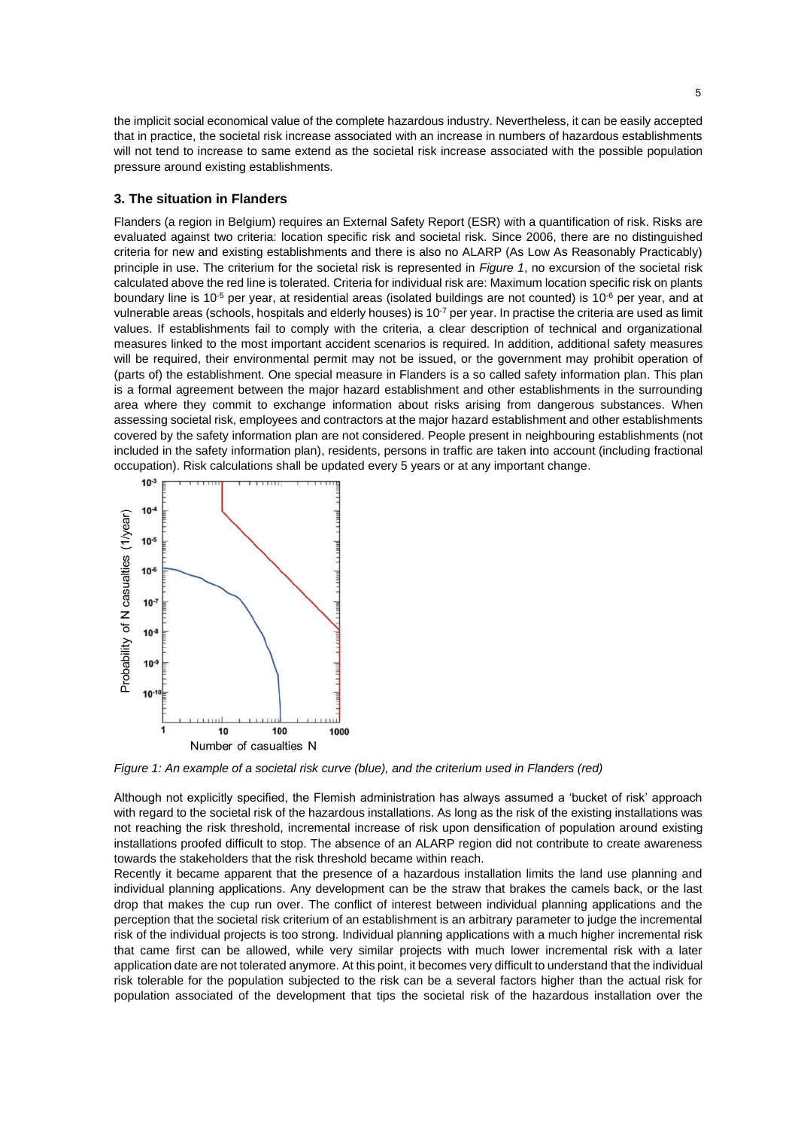the implicit social economical value of the complete hazardous industry. Nevertheless, it can be easily accepted that in practice, the societal risk increase associated with an increase in numbers of hazardous establishments will not tend to increase to same extend as the societal risk increase associated with the possible population pressure around existing establishments.

# **3. The situation in Flanders**

Flanders (a region in Belgium) requires an External Safety Report (ESR) with a quantification of risk. Risks are evaluated against two criteria: location specific risk and societal risk. Since 2006, there are no distinguished criteria for new and existing establishments and there is also no ALARP (As Low As Reasonably Practicably) principle in use. The criterium for the societal risk is represented in *[Figure 1](#page-4-0)*, no excursion of the societal risk calculated above the red line is tolerated. Criteria for individual risk are: Maximum location specific risk on plants boundary line is 10<sup>-5</sup> per year, at residential areas (isolated buildings are not counted) is 10<sup>-6</sup> per year, and at vulnerable areas (schools, hospitals and elderly houses) is 10<sup>-7</sup> per year. In practise the criteria are used as limit values. If establishments fail to comply with the criteria, a clear description of technical and organizational measures linked to the most important accident scenarios is required. In addition, additional safety measures will be required, their environmental permit may not be issued, or the government may prohibit operation of (parts of) the establishment. One special measure in Flanders is a so called safety information plan. This plan is a formal agreement between the major hazard establishment and other establishments in the surrounding area where they commit to exchange information about risks arising from dangerous substances. When assessing societal risk, employees and contractors at the major hazard establishment and other establishments covered by the safety information plan are not considered. People present in neighbouring establishments (not included in the safety information plan), residents, persons in traffic are taken into account (including fractional occupation). Risk calculations shall be updated every 5 years or at any important change.



<span id="page-4-0"></span>*Figure 1: An example of a societal risk curve (blue), and the criterium used in Flanders (red)*

Although not explicitly specified, the Flemish administration has always assumed a 'bucket of risk' approach with regard to the societal risk of the hazardous installations. As long as the risk of the existing installations was not reaching the risk threshold, incremental increase of risk upon densification of population around existing installations proofed difficult to stop. The absence of an ALARP region did not contribute to create awareness towards the stakeholders that the risk threshold became within reach.

Recently it became apparent that the presence of a hazardous installation limits the land use planning and individual planning applications. Any development can be the straw that brakes the camels back, or the last drop that makes the cup run over. The conflict of interest between individual planning applications and the perception that the societal risk criterium of an establishment is an arbitrary parameter to judge the incremental risk of the individual projects is too strong. Individual planning applications with a much higher incremental risk that came first can be allowed, while very similar projects with much lower incremental risk with a later application date are not tolerated anymore. At this point, it becomes very difficult to understand that the individual risk tolerable for the population subjected to the risk can be a several factors higher than the actual risk for population associated of the development that tips the societal risk of the hazardous installation over the